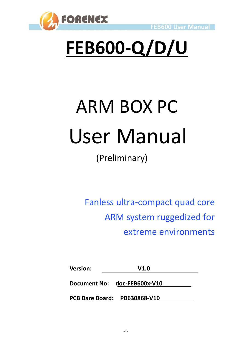



# **FEB600-Q/D/U**

# ARM BOX PC User Manual

# (Preliminary)

Fanless ultra-compact quad core ARM system ruggedized for extreme environments

**Version: V1.0**

**Document No: doc-FEB600x-V10**

**PCB Bare Board: PB630868-V10**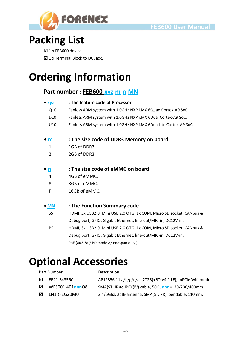



## **Packing List**

■1 x FEB600 device.

 $\boxtimes$  1 x Terminal Block to DC Jack.

# **Ordering Information**

#### Part number : **FEB600-xyz-m-n-MN**

| • xyz           | : The feature code of Processor                                      |
|-----------------|----------------------------------------------------------------------|
| Q10             | Fanless ARM system with 1.0GHz NXP i.MX 6Quad Cortex-A9 SoC.         |
| D <sub>10</sub> | Fanless ARM system with 1.0GHz NXP i.MX 6Dual Cortex-A9 SoC.         |
| U10             | Fanless ARM system with 1.0GHz NXP i.MX 6DualLite Cortex-A9 SoC.     |
| $\bullet$ m     | : The size code of DDR3 Memory on board                              |
| 1               | 1GB of DDR3.                                                         |
| $\overline{2}$  | 2GB of DDR3.                                                         |
| $\bullet$ n     | : The size code of eMMC on board                                     |
| 4               | 4GB of eMMC.                                                         |
| 8               | 8GB of eMMC.                                                         |
| F               | 16GB of eMMC.                                                        |
| $\bullet$ MN    | : The Function Summary code                                          |
| <b>SS</b>       | HDMI, 3x USB2.0, Mini USB 2.0 OTG, 1x COM, Micro SD socket, CANbus & |
|                 | Debug port, GPIO, Gigabit Ethernet, line-out/MIC-in, DC12V-in.       |
| <b>PS</b>       | HDMI, 3x USB2.0, Mini USB 2.0 OTG, 1x COM, Micro SD socket, CANbus & |
|                 | Debug port, GPIO, Gigabit Ethernet, line-out/MIC-in, DC12V-in,       |
|                 | PoE (802.3af/ PD mode A/ endspan only)                               |
|                 |                                                                      |

# **Optional Accessories**

| Part Number |                 | Description                                                    |
|-------------|-----------------|----------------------------------------------------------------|
| ⊠           | EP21-B4356C     | AP12356,11 a/b/g/n/ac(2T2R)+BT(V4.1 LE), mPCIe Wifi module.    |
| ا⊽ا         | WFS001I401nnnO8 | SMA(ST. JR)to IPEX(IV) cable, 50 $\Omega$ , nnn=130/230/400mm. |
| ا⊽ا         | LN1RF2G20M0     | 2.4/5Ghz, 2dBi-antenna, SMA(ST. PR), bendable, 110mm.          |
|             |                 |                                                                |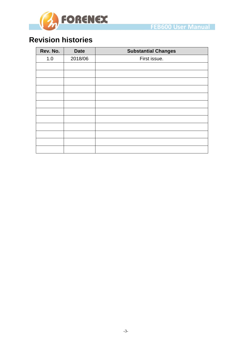

## **Revision histories**

| Rev. No. | <b>Date</b> | <b>Substantial Changes</b> |
|----------|-------------|----------------------------|
| 1.0      | 2018/06     | First issue.               |
|          |             |                            |
|          |             |                            |
|          |             |                            |
|          |             |                            |
|          |             |                            |
|          |             |                            |
|          |             |                            |
|          |             |                            |
|          |             |                            |
|          |             |                            |
|          |             |                            |
|          |             |                            |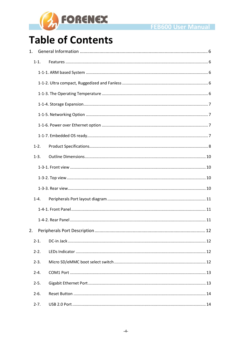

# **Table of Contents**

| 1. |           |    |  |  |
|----|-----------|----|--|--|
|    | $1 - 1.$  |    |  |  |
|    |           |    |  |  |
|    |           |    |  |  |
|    |           |    |  |  |
|    |           |    |  |  |
|    |           |    |  |  |
|    |           |    |  |  |
|    |           |    |  |  |
|    | $1-2.$    |    |  |  |
|    | $1-3.$    |    |  |  |
|    |           |    |  |  |
|    |           |    |  |  |
|    |           |    |  |  |
|    | $1 - 4$ . |    |  |  |
|    |           |    |  |  |
|    |           |    |  |  |
| 2. |           | 12 |  |  |
|    | $2 - 1$ . |    |  |  |
|    | $2 - 2$ . |    |  |  |
|    | $2-3.$    |    |  |  |
|    | $2 - 4.$  |    |  |  |
|    | $2-5.$    |    |  |  |
|    | $2-6.$    |    |  |  |
|    | $2 - 7.$  |    |  |  |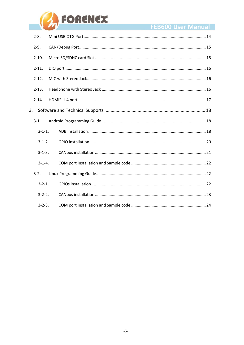

## **FEB600 User Manual**

| $2 - 8.$      |  |
|---------------|--|
| $2-9.$        |  |
| $2 - 10.$     |  |
| $2 - 11.$     |  |
| $2 - 12.$     |  |
| $2 - 13.$     |  |
| $2 - 14.$     |  |
| 3.            |  |
| $3-1.$        |  |
| $3 - 1 - 1$ . |  |
| $3-1-2$ .     |  |
| $3 - 1 - 3$ . |  |
| $3 - 1 - 4$ . |  |
| $3-2.$        |  |
| $3 - 2 - 1$ . |  |
| $3 - 2 - 2$ . |  |
| $3 - 2 - 3$ . |  |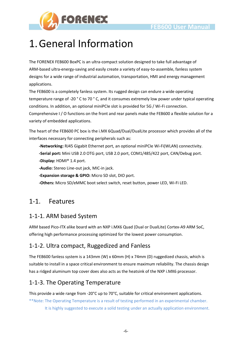

# <span id="page-5-0"></span>1.General Information

The FORENEX FEB600 BoxPC is an ultra-compact solution designed to take full advantage of ARM-based ultra-energy-saving and easily create a variety of easy-to-assemble, fanless system designs for a wide range of industrial automation, transportation, HMI and energy management applications.

The FEB600 is a completely fanless system. Its rugged design can endure a wide operating temperature range of -20 ° C to 70 ° C, and it consumes extremely low power under typical operating conditions. In addition, an optional miniPCIe slot is provided for 5G / Wi-Fi connection.

Comprehensive I / O functions on the front and rear panels make the FEB600 a flexible solution for a variety of embedded applications.

The heart of the FEB600 PC box is the i.MX 6Quad/Dual/DualLite processor which provides all of the interfaces necessary for connecting peripherals such as:

**-Networking:** RJ45 Gigabit Ethernet port, an optional miniPCIe Wi-Fi(WLAN) connectivity. **-Serial port:** Mini USB 2.0 OTG port, USB 2.0 port, COM1/485/422 port, CAN/Debug port. **-Display:** HDMI® 1.4 port.

**-Audio:** Stereo Line-out jack, MIC-in jack.

**-Expansion storage & GPIO:** Micro SD slot, DIO port.

**-Others:** Micro SD/eMMC boot select switch, reset button, power LED, Wi-Fi LED.

## <span id="page-5-1"></span>1-1. Features

#### <span id="page-5-2"></span>1-1-1. ARM based System

ARM based Pico-ITX alike board with an NXP i.MX6 Quad (Dual or DualLite) Cortex-A9 ARM SoC, offering high performance processing optimized for the lowest power consumption.

#### <span id="page-5-3"></span>1-1-2. Ultra compact, Ruggedized and Fanless

The FEB600 fanless system is a 143mm (W) x 60mm (H) x 74mm (D) ruggedized chassis, which is suitable to install in a space critical environment to ensure maximum reliability. The chassis design has a ridged aluminum top cover does also acts as the heatsink of the NXP i.MX6 processor.

#### <span id="page-5-4"></span>1-1-3. The Operating Temperature

This provide a wide range from -20°C up to 70°C, suitable for critical environment applications. \*\*Note: The Operating Temperature is a result of testing performed in an experimental chamber. It is highly suggested to execute a solid testing under an actually application environment.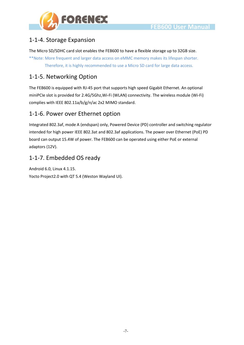

#### <span id="page-6-0"></span>1-1-4. Storage Expansion

The Micro SD/SDHC card slot enables the FEB600 to have a flexible storage up to 32GB size.

\*\*Note: More frequent and larger data access on eMMC memory makes its lifespan shorter. Therefore, it is highly recommended to use a Micro SD card for large data access.

#### <span id="page-6-1"></span>1-1-5. Networking Option

The FEB600 is equipped with RJ-45 port that supports high speed Gigabit Ethernet. An optional miniPCIe slot is provided for 2.4G/5Ghz,Wi-Fi (WLAN) connectivity. The wireless module (Wi-Fi) complies with IEEE 802.11a/b/g/n/ac 2x2 MIMO standard.

#### <span id="page-6-2"></span>1-1-6. Power over Ethernet option

Integrated 802.3af, mode A (endspan) only, Powered Device (PD) controller and switching regulator intended for high power IEEE 802.3at and 802.3af applications. The power over Ethernet (PoE) PD board can output 15.4W of power. The FEB600 can be operated using either PoE or external adaptors (12V).

#### <span id="page-6-3"></span>1-1-7. Embedded OS ready

Android 6.0, Linux 4.1.15. Yocto Project2.0 with QT 5.4 (Weston Wayland UI).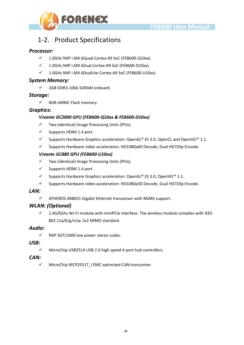



## <span id="page-7-0"></span>1-2. Product Specifications

#### *Processor:*

- 1.0GHz NXP i.MX 6Quad Cortex-A9 SoC (FEB600-Q10xx).
- 1.0GHz NXP i.MX 6Dual Cortex-A9 SoC (FEB600-D10xx).
- 1.0GHz NXP i.MX 6DualLite Cortex-A9 SoC (FEB600-U10xx).

#### *System Memory:*

2GB DDR3-1066 SDRAM onboard.

#### *Storage:*

 $\checkmark$  8GB eMMC Flash memory.

#### *Graphics:*

#### *Vivante GC2000 GPU (FEB600-Q10xx & FEB600-D10xx)*

- $\checkmark$  Two (identical) Image Processing Units (IPUs).
- $\checkmark$  Supports HDMI 1.4 port.
- $\checkmark$  Supports Hardware Graphics acceleration: OpenGL® ES 3.0, OpenCL and OpenVG<sup>™</sup> 1.1.
- $\checkmark$  Supports Hardware video acceleration: HD1080p60 Decode, Dual HD720p Encode.

#### *Vivante GC880 GPU (FEB600-U10xx)*

- $\checkmark$  Two (identical) Image Processing Units (IPUs).
- $\checkmark$  Supports HDMI 1.4 port.
- $\checkmark$  Supports Hardware Graphics acceleration: OpenGL® ES 3.0, OpenVG<sup>™</sup> 1.1.
- $\checkmark$  Supports Hardware video acceleration: HD1080p30 Decode, Dual HD720p Encode.

#### *LAN:*

 $\checkmark$  ATHEROS AR8031 Gigabit Ethernet transceiver with RGMII support.

#### *WLAN: (Optional)*

 $\checkmark$  2.4G/5Ghz Wi-Fi module with miniPCIe interface. The wireless module complies with IEEE 802.11a/b/g/n/ac 2x2 MIMO standard.

#### *Audio:*

 $\checkmark$  NXP SGTL5000 low power stereo codec.

#### *USB:*

 $\checkmark$  MicroChip USB2514 USB 2.0 high speed 4-port hub controllers.

#### *CAN:*

 $\checkmark$  MicroChip MCP2551T I EMC optimized CAN transceiver.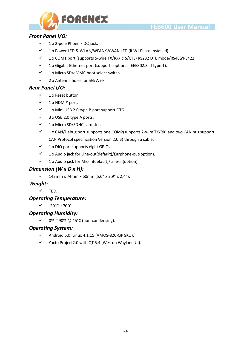

#### *Front Panel I/O:*

- $\checkmark$  1 x 2-pole Phoenix DC jack.
- $\checkmark$  1 x Power LED & WLAN/WPAN/WWAN LED (if Wi-Fi has installed).
- $\checkmark$  1 x COM1 port (supports 5-wire TX/RX/RTS/CTS) RS232 DTE mode/RS485/RS422.
- $\checkmark$  1 x Gigabit Ethernet port (supports optional IEEE802.3 af type 1).
- $1 x$  Micro SD/eMMC boot select switch.
- $\checkmark$  2 x Antenna holes for 5G/Wi-Fi.

#### *Rear Panel I/O:*

- $\checkmark$  1 x Reset button.
- $\checkmark$  1 x HDMI® port.
- $1 x$  Mini USB 2.0 type B port support OTG.
- $\checkmark$  3 x USB 2.0 type A ports.
- $\checkmark$  1 x Micro SD/SDHC card slot.
- $\checkmark$  1 x CAN/Debug port supports one COM2(supports 2-wire TX/RX) and two CAN bus support CAN Protocol specification Version 2.0 B) through a cable.
- $\checkmark$  1 x DIO port supports eight GPIOs.
- $1$  x Audio jack for Line-out(default)/Earphone-out(option).
- $\checkmark$  1 x Audio jack for Mic-in(default)/Line-in(option).

#### *Dimension (W x D x H):*

143mm x 74mm x 60mm (5.6" x 2.9" x 2.4").

#### *Weight:*

 $\checkmark$  TBD.

#### *Operating Temperature:*

 $\checkmark$  -20°C ~ 70°C.

#### *Operating Humidity:*

 $\checkmark$  0% ~ 90% @ 45°C (non-condensing).

#### *Operating System:*

- $\checkmark$  Android 6.0, Linux 4.1.15 (AMOS-820-QP SKU).
- $\checkmark$  Yocto Project2.0 with QT 5.4 (Weston Wayland UI).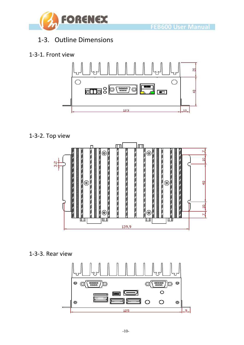

## <span id="page-9-0"></span>1-3. Outline Dimensions

#### <span id="page-9-1"></span>1-3-1. Front view



## <span id="page-9-2"></span>1-3-2. Top view



#### <span id="page-9-3"></span>1-3-3. Rear view

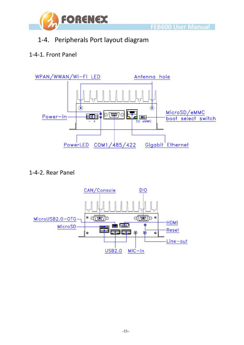

## <span id="page-10-0"></span>1-4. Peripherals Port layout diagram

#### <span id="page-10-1"></span>1-4-1. Front Panel



<span id="page-10-2"></span>1-4-2. Rear Panel

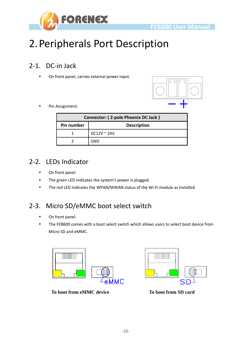

# <span id="page-11-0"></span>2.Peripherals Port Description

## <span id="page-11-1"></span>2-1. DC-in Jack

On front panel, carries external power input.





| <b>Connector: (2-pole Phoenix DC Jack)</b> |                     |  |  |  |
|--------------------------------------------|---------------------|--|--|--|
| Pin number                                 | <b>Description</b>  |  |  |  |
|                                            | $DC12V \approx 24V$ |  |  |  |
|                                            | GND                 |  |  |  |

## <span id="page-11-2"></span>2-2. LEDs Indicator

- On front panel.
- The green LED indicates the system's power is plugged.
- The red LED indicates the WPAN/WWAN status of the Wi-Fi module as installed.

## <span id="page-11-3"></span>2-3. Micro SD/eMMC boot select switch

- On front panel.
- The FEB600 comes with a boot select switch which allows users to select boot device from Micro SD and eMMC.



**To boot from eMMC device To boot from SD card**

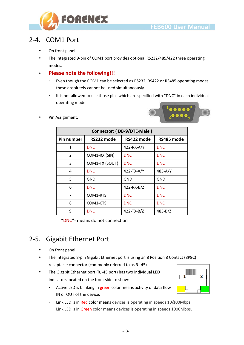

## <span id="page-12-0"></span>2-4. COM1 Port

- On front panel.
- The integrated 9-pin of COM1 port provides optional RS232/485/422 three operating modes.

#### **Please note the following!!!**

- **-** Even though the COM1 can be selected as RS232, RS422 or RS485 operating modes, these absolutely cannot be used simultaneously.
- **-** It is not allowed to use those pins which are specified with "DNC" in each individual operating mode.



Pin Assignment:

| Connector: (DB-9/DTE-Male) |                |              |             |  |
|----------------------------|----------------|--------------|-------------|--|
| Pin number                 | RS232 mode     | RS422 mode   | RS485 mode  |  |
| 1                          | <b>DNC</b>     | 422-RX-A/Y   | <b>DNC</b>  |  |
| $\overline{2}$             | COM1-RX (SIN)  | <b>DNC</b>   | <b>DNC</b>  |  |
| 3                          | COM1-TX (SOUT) | <b>DNC</b>   | <b>DNC</b>  |  |
| 4                          | <b>DNC</b>     | 422-TX-A/Y   | 485-A/Y     |  |
| 5                          | <b>GND</b>     | GND          | <b>GND</b>  |  |
| 6                          | <b>DNC</b>     | 422-RX-B/Z   | <b>DNC</b>  |  |
| 7                          | COM1-RTS       | <b>DNC</b>   | <b>DNC</b>  |  |
| 8                          | COM1-CTS       | <b>DNC</b>   | <b>DNC</b>  |  |
| 9                          | <b>DNC</b>     | $422-TX-B/Z$ | $485 - B/Z$ |  |

"DNC"- means do not connection

## <span id="page-12-1"></span>2-5. Gigabit Ethernet Port

- On front panel.
- The integrated 8-pin Gigabit Ethernet port is using an 8 Position 8 Contact (8P8C) receptacle connector (commonly referred to as RJ-45).
- The Gigabit Ethernet port (RJ-45 port) has two individual LED indicators located on the front side to show:
	- **-** Active LED is blinking in green color means activity of data flow IN or OUT of the device.
	- **-** Link LED is in Red color means devices is operating in speeds 10/100Mbps. Link LED is in Green color means devices is operating in speeds 1000Mbps.

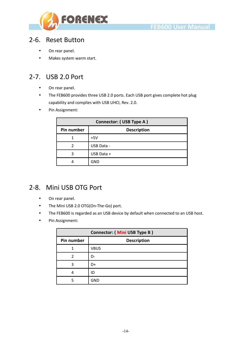

#### <span id="page-13-0"></span>2-6. Reset Button

- On rear panel.
- Makes system warm start.

### <span id="page-13-1"></span>2-7. USB 2.0 Port

- On rear panel.
- The FEB600 provides three USB 2.0 ports. Each USB port gives complete hot plug capability and complies with USB UHCI, Rev. 2.0.
- Pin Assignment:

| Connector: (USB Type A) |                    |  |  |
|-------------------------|--------------------|--|--|
| Pin number              | <b>Description</b> |  |  |
|                         | $+5V$              |  |  |
|                         | USB Data -         |  |  |
| 3                       | USB Data +         |  |  |
|                         | GND                |  |  |

### <span id="page-13-2"></span>2-8. Mini USB OTG Port

- On rear panel.
- The Mini USB 2.0 OTG(On-The-Go) port.
- The FEB600 is regarded as an USB device by default when connected to an USB host.
- Pin Assignment:

| Connector: ( Mini USB Type B ) |                    |  |  |
|--------------------------------|--------------------|--|--|
| Pin number                     | <b>Description</b> |  |  |
|                                | <b>VBUS</b>        |  |  |
|                                | D-                 |  |  |
| З                              | D+                 |  |  |
|                                | ID                 |  |  |
|                                | <b>GND</b>         |  |  |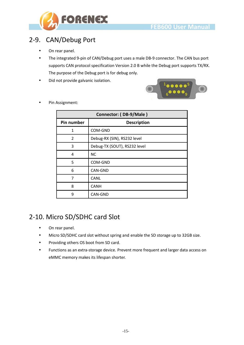

## <span id="page-14-0"></span>2-9. CAN/Debug Port

- On rear panel.
- The integrated 9-pin of CAN/Debug port uses a male DB-9 connector. The CAN bus port supports CAN protocol specification Version 2.0 B while the Debug port supports TX/RX. The purpose of the Debug port is for debug only.
- Did not provide galvanic isolation.



Pin Assignment:

| Connector: (DB-9/Male) |                              |  |  |
|------------------------|------------------------------|--|--|
| <b>Pin number</b>      | <b>Description</b>           |  |  |
| 1                      | COM-GND                      |  |  |
| $\overline{2}$         | Debug-RX (SIN), RS232 level  |  |  |
| 3                      | Debug-TX (SOUT), RS232 level |  |  |
| 4                      | <b>NC</b>                    |  |  |
| 5                      | COM-GND                      |  |  |
| 6                      | <b>CAN-GND</b>               |  |  |
| 7                      | CANL                         |  |  |
| 8                      | <b>CANH</b>                  |  |  |
| 9                      | <b>CAN-GND</b>               |  |  |

## <span id="page-14-1"></span>2-10. Micro SD/SDHC card Slot

- On rear panel.
- Micro SD/SDHC card slot without spring and enable the SD storage up to 32GB size.
- Providing others OS boot from SD card.
- Functions as an extra-storage device. Prevent more frequent and larger data access on eMMC memory makes its lifespan shorter.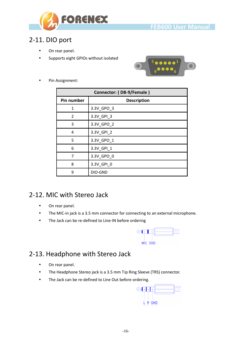

## <span id="page-15-0"></span>2-11. DIO port

- On rear panel.
- Supports eight GPIOs without isolated



Pin Assignment:

| Connector: (DB-9/Female) |                    |  |  |
|--------------------------|--------------------|--|--|
| Pin number               | <b>Description</b> |  |  |
| 1                        | 3.3V_GPO_3         |  |  |
| $\overline{2}$           | 3.3V_GPI_3         |  |  |
| 3                        | 3.3V_GPO_2         |  |  |
| 4                        | 3.3V_GPI_2         |  |  |
| 5                        | 3.3V_GPO_1         |  |  |
| 6                        | 3.3V_GPI_1         |  |  |
| 7                        | 3.3V_GPO_0         |  |  |
| 8                        | 3.3V_GPI_0         |  |  |
| q                        | DIO-GND            |  |  |

## <span id="page-15-1"></span>2-12. MIC with Stereo Jack

- On rear panel.
- The MIC-in jack is a 3.5 mm connector for connecting to an external microphone.
- The Jack can be re-defined to Line-IN before ordering



## <span id="page-15-2"></span>2-13. Headphone with Stereo Jack

- On rear panel.
- The Headphone Stereo jack is a 3.5 mm Tip Ring Sleeve (TRS) connector.
- The Jack can be re-defined to Line Out before ordering.

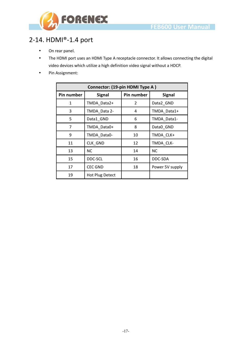

## <span id="page-16-0"></span>2-14. HDMI®-1.4 port

- On rear panel.
- The HDMI port uses an HDMI Type A receptacle connector. It allows connecting the digital video devices which utilize a high definition video signal without a HDCP.
- Pin Assignment:

| Connector: (19-pin HDMI Type A) |                 |            |                 |  |
|---------------------------------|-----------------|------------|-----------------|--|
| Pin number                      | <b>Signal</b>   | Pin number | <b>Signal</b>   |  |
| 1                               | TMDA Data2+     | 2          | Data2_GND       |  |
| 3                               | TMDA Data 2-    | 4          | TMDA Data1+     |  |
| 5                               | Data1_GND       | 6          | TMDA_Data1-     |  |
| 7                               | TMDA_Data0+     | 8          | Data0_GND       |  |
| 9                               | TMDA Data0-     | 10         | TMDA CLK+       |  |
| 11                              | <b>CLK GND</b>  | 12         | TMDA CLK-       |  |
| 13                              | NС              | 14         | NС              |  |
| 15                              | DDC-SCL         | 16         | DDC-SDA         |  |
| 17                              | <b>CEC GND</b>  | 18         | Power 5V supply |  |
| 19                              | Hot Plug Detect |            |                 |  |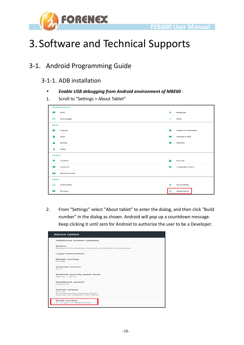

# <span id="page-17-0"></span>3.Software and Technical Supports

## <span id="page-17-2"></span><span id="page-17-1"></span>3-1. Android Programming Guide

#### 3-1-1. ADB installation

- *Enable USB debugging from Android environment of MBE60* :
- 1. Scroll to "Settings > About Tablet"

|               | <b>Wireless &amp; networks</b> |          |                      |  |  |
|---------------|--------------------------------|----------|----------------------|--|--|
|               | Wi-Fi                          | $\ast$   | Bluetooth            |  |  |
| $\circ$       | Data usage                     | $\cdots$ | More                 |  |  |
|               | <b>Device</b>                  |          |                      |  |  |
| Ð             | Display                        |          | Sound & notification |  |  |
| 쪽             | Apps                           | ∊        | Storage & USB        |  |  |
| Ĥ             | Battery                        | t.       | Memory               |  |  |
| ∸             | Users                          |          |                      |  |  |
|               | Personal                       |          |                      |  |  |
| $\bullet$     | Location                       | Α        | Security             |  |  |
| Ξ             | Accounts                       | ⊕        | Language & input     |  |  |
| $\bullet$     | Backup & reset                 |          |                      |  |  |
| <b>System</b> |                                |          |                      |  |  |
| $\odot$       | Date & time                    | Ŵ.       | Accessibility        |  |  |
| ō             | Printing                       | $\odot$  | About tablet         |  |  |

2. From "Settings" select "About tablet" to enter the dialog, and then click "Build number" in the dialog as shown. Android will pop up a countdown message. Keep clicking it until zero for Android to authorize the user to be a Developer.

| <b>About tablet</b>                                                                    |
|----------------------------------------------------------------------------------------|
| Additional system updates                                                              |
| Status<br>Status of the battery, network, and other information                        |
| Legal information                                                                      |
| Model number<br><b>FX100</b>                                                           |
| Android version<br>6.0.1                                                               |
| Android security patch level<br>March 1, 2016                                          |
| Baseband version<br>Unknown                                                            |
| Kernel version<br>4.1.15<br>victor@forenex-System #222<br>Tue Oct 16 18:08:21 CST 2018 |
| <b>Build number</b><br>2.1.0-ga-rc2 release-keys                                       |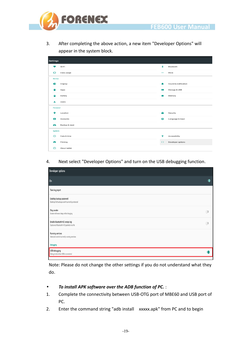

3. After completing the above action, a new item "Developer Options" will appear in the system block.

| <b>Settings</b> |               |                |              |                      |  |
|-----------------|---------------|----------------|--------------|----------------------|--|
|                 |               | Wi-Fi          | $\ast$       | Bluetooth            |  |
|                 | $\circ$       | Data usage     | $\cdots$     | More                 |  |
|                 | <b>Device</b> |                |              |                      |  |
|                 | $\bullet$     | Display        | ▲            | Sound & notification |  |
|                 | 좀             | Apps           | $\leftarrow$ | Storage & USB        |  |
|                 | Ĥ             | Battery        | 蠢            | Memory               |  |
|                 | ᇰ             | Users          |              |                      |  |
|                 | Personal      |                |              |                      |  |
|                 | P             | Location       | a            | Security             |  |
|                 | Е             | Accounts       | ⊕            | Language & input     |  |
|                 | $\bullet$     | Backup & reset |              |                      |  |
|                 | <b>System</b> |                |              |                      |  |
|                 | $\odot$       | Date & time    | ₩.           | Accessibility        |  |
|                 | e             | Printing       | $\{\}$       | Developer options    |  |
|                 | $\odot$       | About tablet   |              |                      |  |

4. Next select "Developer Options" and turn on the USB debugging function.

| Developer options                                                             |        |
|-------------------------------------------------------------------------------|--------|
| On                                                                            |        |
| Take bug report                                                               |        |
| Desktop backup password<br>Desktop full backups aren't currently protected    |        |
| Stay awake<br>Screen will never sleep while charging                          | $\Box$ |
| Enable Bluetooth HCI snoop log<br>Capture all bluetooth HCI packets in a file |        |
| Running services<br>View and control currently running services               |        |
| Debugging                                                                     |        |
| USB debugging<br>Debug mode when USB is connected                             |        |
|                                                                               |        |

Note: Please do not change the other settings if you do not understand what they do.

- *To install APK software over the ADB function of PC.* :
- 1. Complete the connectivity between USB-OTG port of MBE60 and USB port of PC.
- 2. Enter the command string "adb install xxxxx.apk" from PC and to begin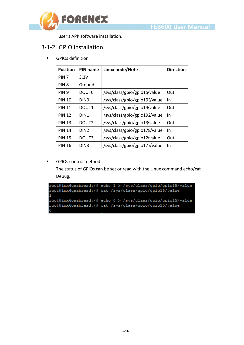



user's APK software installation.

#### <span id="page-19-0"></span>3-1-2. GPIO installation

GPIOs definition

| <b>Position</b>  | PIN name          | Linux node/Note               | <b>Direction</b> |
|------------------|-------------------|-------------------------------|------------------|
| PIN 7            | 3.3V              |                               |                  |
| PIN <sub>8</sub> | Ground            |                               |                  |
| <b>PIN 9</b>     | DOUT <sub>0</sub> | /sys/class/gpio/gpio15/value  | Out              |
| <b>PIN 10</b>    | DIN <sub>0</sub>  | /sys/class/gpio/gpio193/value | In               |
| <b>PIN 11</b>    | DOUT1             | /sys/class/gpio/gpio14/value  | Out              |
| <b>PIN 12</b>    | DIN1              | /sys/class/gpio/gpio192/value | In.              |
| <b>PIN 13</b>    | DOUT <sub>2</sub> | /sys/class/gpio/gpio13/value  | Out              |
| <b>PIN 14</b>    | DIN <sub>2</sub>  | /sys/class/gpio/gpio178/value | <b>In</b>        |
| <b>PIN 15</b>    | DOUT3             | /sys/class/gpio/gpio12/value  | Out              |
| PIN 16           | DIN <sub>3</sub>  | /sys/class/gpio/gpio177/value | In               |

GPIOs control method

The status of GPIOs can be set or read with the Linux command echo/cat Debug.

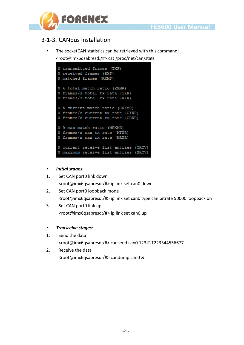



#### <span id="page-20-0"></span>3-1-3. CANbus installation

 The socketCAN statistics can be retrieved with this command: <root@imx6qsabresd:/#> cat /proc/net/can/stats

0 transmitted frames (TXF) 0 received frames (RXF) 0 matched frames (RXMF) 0 % total match ratio (RXMR) 0 frames/s total tx rate (TXR) 0 frames/s total rx rate (RXR) 0 % current match ratio (CRXMR) 0 frames/s current tx rate (CTXR) 0 frames/s current rx rate (CRXR) 0 % max match ratio (MRXMR) 0 frames/s max tx rate (MTXR) 0 frames/s max rx rate (MRXR) 0 current receive list entries (CRCV) 0 maximum receive list entries (MRCV)

- *Initial stages*:
- 1. Set CAN port0 link down <root@imx6qsabresd:/#> ip link set can0 down
- 2. Set CAN port0 loopback mode <root@imx6qsabresd:/#> ip link set can0 type can bitrate 50000 loopback on
- 3. Set CAN port0 link up <root@imx6qsabresd:/#> ip link set can0 up
- *Transceive stages*:
- 1. Send the data
	- <root@imx6qsabresd:/#> cansend can0 123#11223344556677
- 2. Receive the data <root@imx6qsabresd:/#> candump can0 &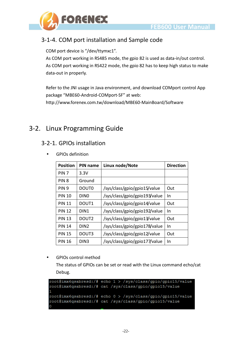

#### <span id="page-21-0"></span>3-1-4. COM port installation and Sample code

COM port device is "/dev/ttymxc1".

As COM port working in RS485 mode, the gpio 82 is used as data-in/out control. As COM port working in RS422 mode, the gpio 82 has to keep high status to make data-out in properly.

Refer to the JNI usage in Java environment, and download COMport control App package "MBE60-Android-COMport-SF" at web: http://www.forenex.com.tw/download/MBE60-MainBoard/Software

## <span id="page-21-2"></span><span id="page-21-1"></span>3-2. Linux Programming Guide

#### 3-2-1. GPIOs installation

GPIOs definition

| <b>Position</b>  | PIN name          | Linux node/Note               | <b>Direction</b> |
|------------------|-------------------|-------------------------------|------------------|
| PIN <sub>7</sub> | 3.3V              |                               |                  |
| PIN <sub>8</sub> | Ground            |                               |                  |
| PIN <sub>9</sub> | DOUT <sub>0</sub> | /sys/class/gpio/gpio15/value  | Out              |
| <b>PIN 10</b>    | DIN <sub>0</sub>  | /sys/class/gpio/gpio193/value | In               |
| <b>PIN 11</b>    | DOUT1             | /sys/class/gpio/gpio14/value  | Out              |
| <b>PIN 12</b>    | DIN <sub>1</sub>  | /sys/class/gpio/gpio192/value | In               |
| <b>PIN 13</b>    | DOUT <sub>2</sub> | /sys/class/gpio/gpio13/value  | Out              |
| <b>PIN 14</b>    | DIN <sub>2</sub>  | /sys/class/gpio/gpio178/value | In               |
| <b>PIN 15</b>    | DOUT3             | /sys/class/gpio/gpio12/value  | Out              |
| <b>PIN 16</b>    | DIN <sub>3</sub>  | /sys/class/gpio/gpio177/value | In               |

GPIOs control method

The status of GPIOs can be set or read with the Linux command echo/cat Debug.

```
root@imx6qsabresd:/# echo 1 > /sys/class/gpio/gpio15/value
root@imx6qsabresd:/# cat /sys/class/qpio/qpio15/value
root@imx6qsabresd:/# echo 0 > /sys/class/gpio/gpio15/value
root@imx6qsabresd:/# cat /sys/class/gpio/gpio15/value
```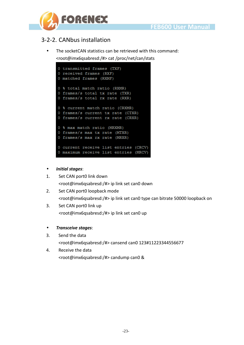



#### <span id="page-22-0"></span>3-2-2. CANbus installation

 The socketCAN statistics can be retrieved with this command: <root@imx6qsabresd:/#> cat /proc/net/can/stats

0 transmitted frames (TXF) 0 received frames (RXF) 0 matched frames (RXMF) 0 % total match ratio (RXMR) 0 frames/s total tx rate (TXR) 0 frames/s total rx rate (RXR) 0 % current match ratio (CRXMR) 0 frames/s current tx rate (CTXR) 0 frames/s current rx rate (CRXR) 0 % max match ratio (MRXMR) 0 frames/s max tx rate (MTXR) 0 frames/s max rx rate (MRXR) 0 current receive list entries (CRCV) 0 maximum receive list entries (MRCV)

- *Initial stages*:
- 1. Set CAN port0 link down <root@imx6qsabresd:/#> ip link set can0 down
- 2. Set CAN port0 loopback mode <root@imx6qsabresd:/#> ip link set can0 type can bitrate 50000 loopback on
- 3. Set CAN port0 link up <root@imx6qsabresd:/#> ip link set can0 up
- *Transceive stages*:
- 3. Send the data
	- <root@imx6qsabresd:/#> cansend can0 123#11223344556677
- 4. Receive the data <root@imx6qsabresd:/#> candump can0 &